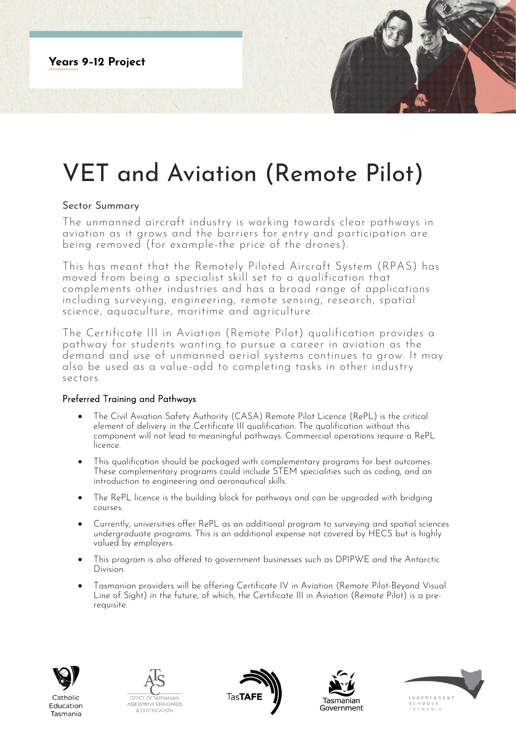## VET and Aviation (Remote Pilot)

## Sector Summary

The unmanned aircraft industry is working towards clear pathways in aviation as it grows and the barriers for entry and participation are being removed (for example-the price of the drones).

This has meant that the Remotely Piloted Aircraft System (RPAS) has moved from being a specialist skill set to a qualification that complements other industries and has a broad range of applications including surveying, engineering, remote sensing, research, spatial science, aquaculture, maritime and agriculture.

The Certificate III in Aviation (Remote Pilot) qualification provides a pathway for students wanting to pursue a career in aviation as the demand and use of unmanned aerial systems continues to grow. It may also be used as a value-add to completing tasks in other industry sectors.

## Preferred Training and Pathways

- The Civil Aviation Safety Authority (CASA) Remote Pilot Licence (RePL) is the critical element of delivery in the Certificate III qualification. The qualification without this component will not lead to meaningful pathways. Commercial operations require a RePL licence.
- This qualification should be packaged with complementary programs for best outcomes. These complementary programs could include STEM specialities such as coding, and an introduction to engineering and aeronautical skills.
- The RePL licence is the building block for pathways and can be upgraded with bridging courses.
- Currently, universities offer RePL as an additional program to surveying and spatial sciences undergraduate programs. This is an additional expense not covered by HECS but is highly valued by employers.
- This program is also offered to government businesses such as DPIPWE and the Antarctic Division.
- Tasmanian providers will be offering Certificate IV in Aviation (Remote Pilot-Beyond Visual Line of Sight) in the future, of which, the Certificate III in Aviation (Remote Pilot) is a prerequisite.



Tasmania